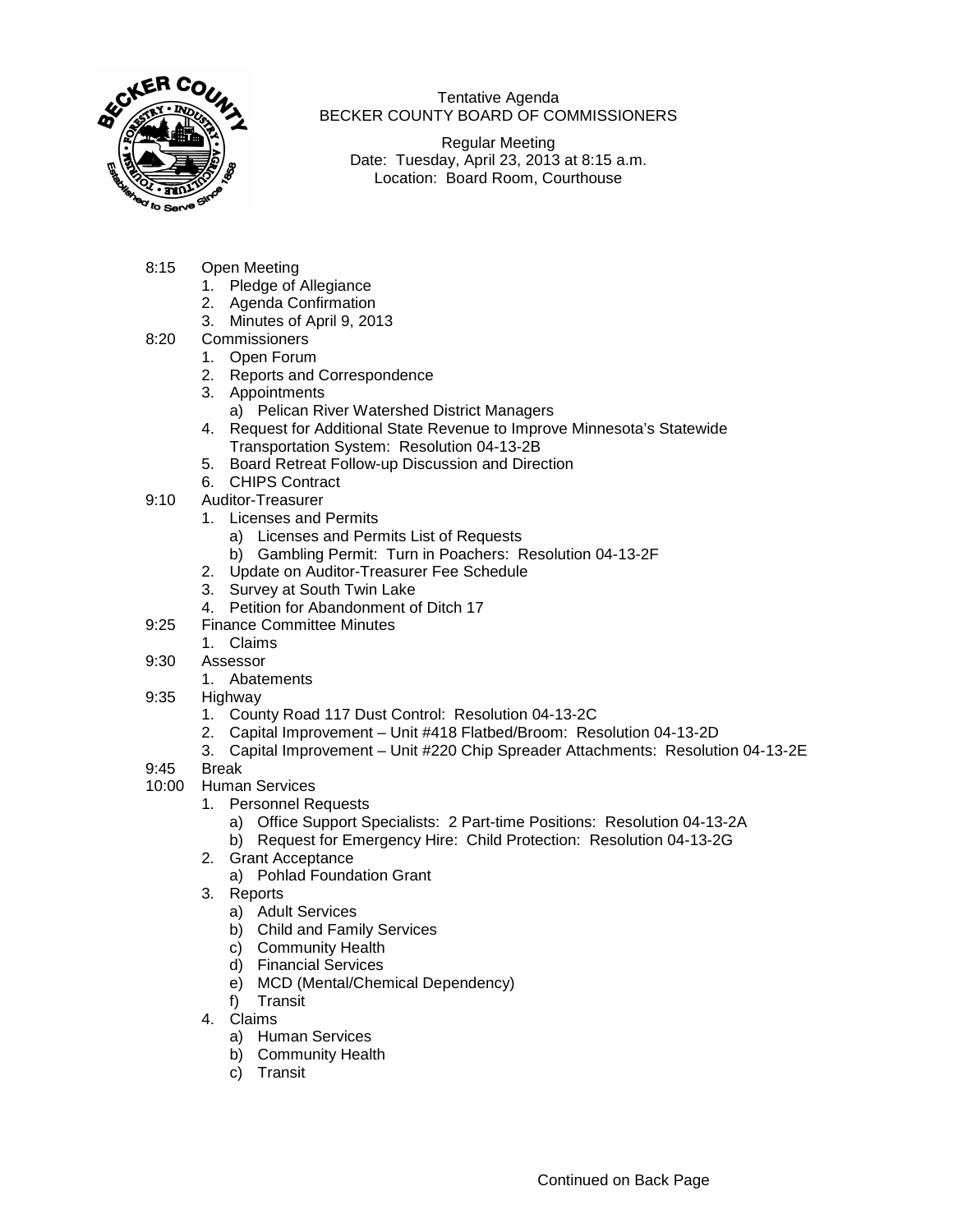

Tentative Agenda BECKER COUNTY BOARD OF COMMISSIONERS

Regular Meeting Date: Tuesday, April 23, 2013 at 8:15 a.m. Location: Board Room, Courthouse

- 8:15 Open Meeting
	- 1. Pledge of Allegiance
	- 2. Agenda Confirmation
	- 3. Minutes of April 9, 2013
- 8:20 Commissioners
	- 1. Open Forum
	- 2. Reports and Correspondence
	- 3. Appointments
		- a) Pelican River Watershed District Managers
	- 4. Request for Additional State Revenue to Improve Minnesota's Statewide Transportation System: Resolution 04-13-2B
	- 5. Board Retreat Follow-up Discussion and Direction
	- 6. CHIPS Contract
- 9:10 Auditor-Treasurer
	- 1. Licenses and Permits
		- a) Licenses and Permits List of Requests
		- b) Gambling Permit: Turn in Poachers: Resolution 04-13-2F
	- 2. Update on Auditor-Treasurer Fee Schedule
	- 3. Survey at South Twin Lake
	- 4. Petition for Abandonment of Ditch 17
- 9:25 Finance Committee Minutes
	- 1. Claims
- 9:30 Assessor
	- 1. Abatements
- 9:35 Highway
	- 1. County Road 117 Dust Control: Resolution 04-13-2C
	- 2. Capital Improvement Unit #418 Flatbed/Broom: Resolution 04-13-2D
	- 3. Capital Improvement Unit #220 Chip Spreader Attachments: Resolution 04-13-2E
- 9:45 Break
- 10:00 Human Services
	- 1. Personnel Requests
		- a) Office Support Specialists: 2 Part-time Positions: Resolution 04-13-2A
		- b) Request for Emergency Hire: Child Protection: Resolution 04-13-2G
	- 2. Grant Acceptance
		- a) Pohlad Foundation Grant
	- 3. Reports
		- a) Adult Services
		- b) Child and Family Services
		- c) Community Health
		- d) Financial Services
		- e) MCD (Mental/Chemical Dependency)
		- f) Transit
	- 4. Claims
		- a) Human Services
		- b) Community Health
		- c) Transit